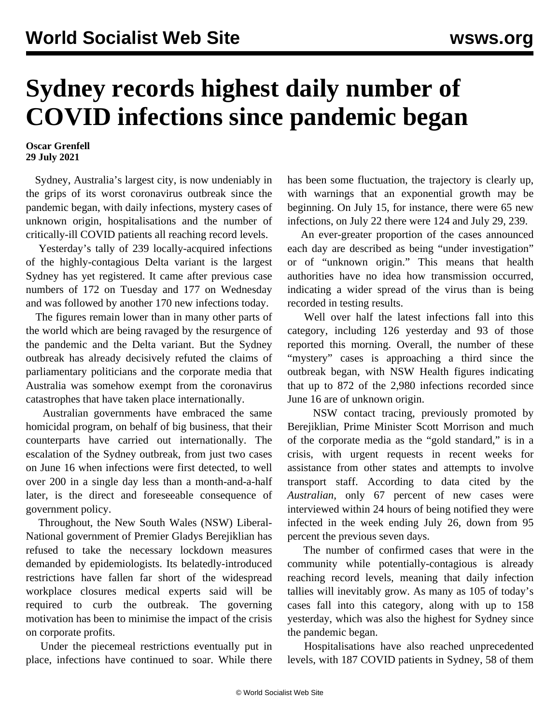## **Sydney records highest daily number of COVID infections since pandemic began**

## **Oscar Grenfell 29 July 2021**

 Sydney, Australia's largest city, is now undeniably in the grips of its worst coronavirus outbreak since the pandemic began, with daily infections, mystery cases of unknown origin, hospitalisations and the number of critically-ill COVID patients all reaching record levels.

 Yesterday's tally of 239 locally-acquired infections of the highly-contagious Delta variant is the largest Sydney has yet registered. It came after previous case numbers of 172 on Tuesday and 177 on Wednesday and was followed by another 170 new infections today.

 The figures remain lower than in many other parts of the world which are being ravaged by the resurgence of the pandemic and the Delta variant. But the Sydney outbreak has already decisively refuted the claims of parliamentary politicians and the corporate media that Australia was somehow exempt from the coronavirus catastrophes that have taken place internationally.

 Australian governments have embraced the same homicidal program, on behalf of big business, that their counterparts have carried out internationally. The escalation of the Sydney outbreak, from just two cases on June 16 when infections were first detected, to well over 200 in a single day less than a month-and-a-half later, is the direct and foreseeable consequence of government policy.

 Throughout, the New South Wales (NSW) Liberal-National government of Premier Gladys Berejiklian has refused to take the necessary lockdown measures demanded by epidemiologists. Its belatedly-introduced restrictions have fallen far short of the widespread workplace closures medical experts said will be required to curb the outbreak. The governing motivation has been to minimise the impact of the crisis on corporate profits.

 Under the piecemeal restrictions eventually put in place, infections have continued to soar. While there has been some fluctuation, the trajectory is clearly up, with warnings that an exponential growth may be beginning. On July 15, for instance, there were 65 new infections, on July 22 there were 124 and July 29, 239.

 An ever-greater proportion of the cases announced each day are described as being "under investigation" or of "unknown origin." This means that health authorities have no idea how transmission occurred, indicating a wider spread of the virus than is being recorded in testing results.

 Well over half the latest infections fall into this category, including 126 yesterday and 93 of those reported this morning. Overall, the number of these "mystery" cases is approaching a third since the outbreak began, with NSW Health figures indicating that up to 872 of the 2,980 infections recorded since June 16 are of unknown origin.

 NSW contact tracing, previously promoted by Berejiklian, Prime Minister Scott Morrison and much of the corporate media as the "gold standard," is in a crisis, with urgent requests in recent weeks for assistance from other states and attempts to involve transport staff. According to data cited by the *Australian*, only 67 percent of new cases were interviewed within 24 hours of being notified they were infected in the week ending July 26, down from 95 percent the previous seven days.

 The number of confirmed cases that were in the community while potentially-contagious is already reaching record levels, meaning that daily infection tallies will inevitably grow. As many as 105 of today's cases fall into this category, along with up to 158 yesterday, which was also the highest for Sydney since the pandemic began.

 Hospitalisations have also reached unprecedented levels, with 187 COVID patients in Sydney, 58 of them